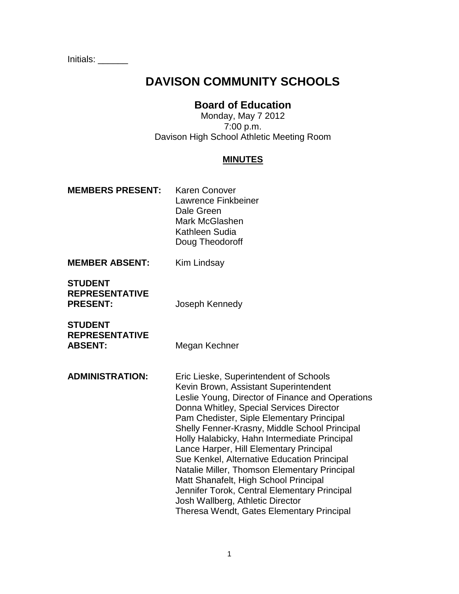Initials: \_\_\_\_\_\_

# **DAVISON COMMUNITY SCHOOLS**

# **Board of Education**

Monday, May 7 2012 7:00 p.m. Davison High School Athletic Meeting Room

#### **MINUTES**

- **MEMBERS PRESENT:** Karen Conover Lawrence Finkbeiner Dale Green Mark McGlashen Kathleen Sudia Doug Theodoroff
- **MEMBER ABSENT:** Kim Lindsay

**STUDENT REPRESENTATIVE PRESENT:** Joseph Kennedy

**STUDENT REPRESENTATIVE** ABSENT: Megan Kechner

**ADMINISTRATION:** Eric Lieske, Superintendent of Schools Kevin Brown, Assistant Superintendent Leslie Young, Director of Finance and Operations Donna Whitley, Special Services Director Pam Chedister, Siple Elementary Principal Shelly Fenner-Krasny, Middle School Principal Holly Halabicky, Hahn Intermediate Principal Lance Harper, Hill Elementary Principal Sue Kenkel, Alternative Education Principal Natalie Miller, Thomson Elementary Principal Matt Shanafelt, High School Principal Jennifer Torok, Central Elementary Principal Josh Wallberg, Athletic Director Theresa Wendt, Gates Elementary Principal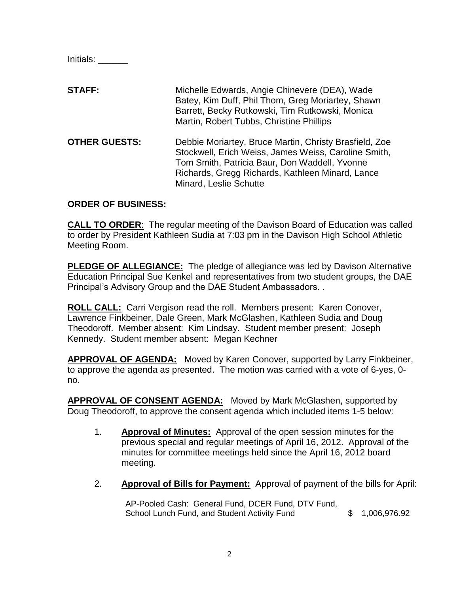Initials: \_\_\_\_\_\_

**STAFF:** Michelle Edwards, Angie Chinevere (DEA), Wade Batey, Kim Duff, Phil Thom, Greg Moriartey, Shawn Barrett, Becky Rutkowski, Tim Rutkowski, Monica Martin, Robert Tubbs, Christine Phillips **OTHER GUESTS:** Debbie Moriartey, Bruce Martin, Christy Brasfield, Zoe Stockwell, Erich Weiss, James Weiss, Caroline Smith, Tom Smith, Patricia Baur, Don Waddell, Yvonne

Minard, Leslie Schutte

#### **ORDER OF BUSINESS:**

**CALL TO ORDER**: The regular meeting of the Davison Board of Education was called to order by President Kathleen Sudia at 7:03 pm in the Davison High School Athletic Meeting Room.

Richards, Gregg Richards, Kathleen Minard, Lance

**PLEDGE OF ALLEGIANCE:** The pledge of allegiance was led by Davison Alternative Education Principal Sue Kenkel and representatives from two student groups, the DAE Principal's Advisory Group and the DAE Student Ambassadors. .

**ROLL CALL:** Carri Vergison read the roll. Members present: Karen Conover, Lawrence Finkbeiner, Dale Green, Mark McGlashen, Kathleen Sudia and Doug Theodoroff. Member absent: Kim Lindsay. Student member present: Joseph Kennedy. Student member absent: Megan Kechner

**APPROVAL OF AGENDA:** Moved by Karen Conover, supported by Larry Finkbeiner, to approve the agenda as presented. The motion was carried with a vote of 6-yes, 0 no.

**APPROVAL OF CONSENT AGENDA:** Moved by Mark McGlashen, supported by Doug Theodoroff, to approve the consent agenda which included items 1-5 below:

- 1. **Approval of Minutes:** Approval of the open session minutes for the previous special and regular meetings of April 16, 2012. Approval of the minutes for committee meetings held since the April 16, 2012 board meeting.
- 2. **Approval of Bills for Payment:** Approval of payment of the bills for April:

AP-Pooled Cash: General Fund, DCER Fund, DTV Fund, School Lunch Fund, and Student Activity Fund  $$ 1,006,976.92$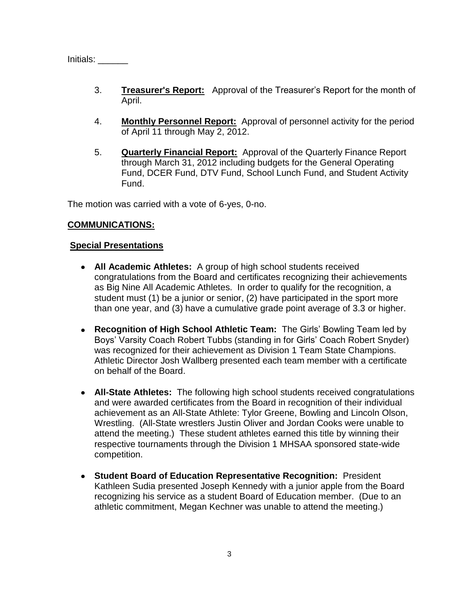Initials: \_\_\_\_\_\_

- 3. **Treasurer's Report:** Approval of the Treasurer's Report for the month of April.
- 4. **Monthly Personnel Report:** Approval of personnel activity for the period of April 11 through May 2, 2012.
- 5. **Quarterly Financial Report:** Approval of the Quarterly Finance Report through March 31, 2012 including budgets for the General Operating Fund, DCER Fund, DTV Fund, School Lunch Fund, and Student Activity Fund.

The motion was carried with a vote of 6-yes, 0-no.

### **COMMUNICATIONS:**

#### **Special Presentations**

- **All Academic Athletes:** A group of high school students received congratulations from the Board and certificates recognizing their achievements as Big Nine All Academic Athletes. In order to qualify for the recognition, a student must (1) be a junior or senior, (2) have participated in the sport more than one year, and (3) have a cumulative grade point average of 3.3 or higher.
- **Recognition of High School Athletic Team:** The Girls' Bowling Team led by Boys' Varsity Coach Robert Tubbs (standing in for Girls' Coach Robert Snyder) was recognized for their achievement as Division 1 Team State Champions. Athletic Director Josh Wallberg presented each team member with a certificate on behalf of the Board.
- **All-State Athletes:** The following high school students received congratulations and were awarded certificates from the Board in recognition of their individual achievement as an All-State Athlete: Tylor Greene, Bowling and Lincoln Olson, Wrestling. (All-State wrestlers Justin Oliver and Jordan Cooks were unable to attend the meeting.) These student athletes earned this title by winning their respective tournaments through the Division 1 MHSAA sponsored state-wide competition.
- **Student Board of Education Representative Recognition:** President Kathleen Sudia presented Joseph Kennedy with a junior apple from the Board recognizing his service as a student Board of Education member. (Due to an athletic commitment, Megan Kechner was unable to attend the meeting.)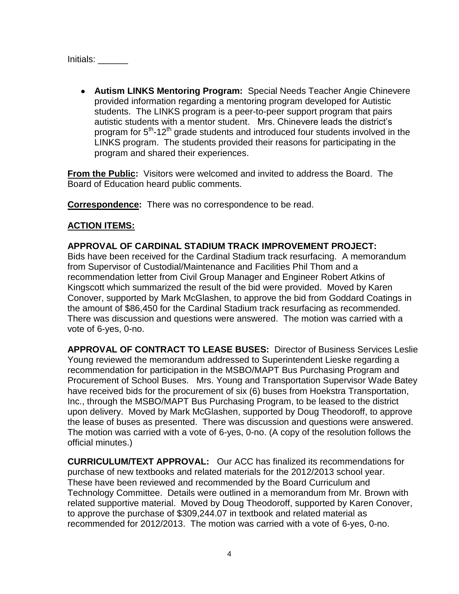Initials: \_\_\_\_\_\_\_

**Autism LINKS Mentoring Program:** Special Needs Teacher Angie Chinevere provided information regarding a mentoring program developed for Autistic students. The LINKS program is a peer-to-peer support program that pairs autistic students with a mentor student. Mrs. Chinevere leads the district's program for 5<sup>th</sup>-12<sup>th</sup> grade students and introduced four students involved in the LINKS program. The students provided their reasons for participating in the program and shared their experiences.

**From the Public:** Visitors were welcomed and invited to address the Board. The Board of Education heard public comments.

**Correspondence:** There was no correspondence to be read.

# **ACTION ITEMS:**

**APPROVAL OF CARDINAL STADIUM TRACK IMPROVEMENT PROJECT:**  Bids have been received for the Cardinal Stadium track resurfacing. A memorandum from Supervisor of Custodial/Maintenance and Facilities Phil Thom and a recommendation letter from Civil Group Manager and Engineer Robert Atkins of Kingscott which summarized the result of the bid were provided. Moved by Karen Conover, supported by Mark McGlashen, to approve the bid from Goddard Coatings in the amount of \$86,450 for the Cardinal Stadium track resurfacing as recommended. There was discussion and questions were answered. The motion was carried with a vote of 6-yes, 0-no.

**APPROVAL OF CONTRACT TO LEASE BUSES:** Director of Business Services Leslie Young reviewed the memorandum addressed to Superintendent Lieske regarding a recommendation for participation in the MSBO/MAPT Bus Purchasing Program and Procurement of School Buses. Mrs. Young and Transportation Supervisor Wade Batey have received bids for the procurement of six (6) buses from Hoekstra Transportation, Inc., through the MSBO/MAPT Bus Purchasing Program, to be leased to the district upon delivery. Moved by Mark McGlashen, supported by Doug Theodoroff, to approve the lease of buses as presented. There was discussion and questions were answered. The motion was carried with a vote of 6-yes, 0-no. (A copy of the resolution follows the official minutes.)

**CURRICULUM/TEXT APPROVAL:** Our ACC has finalized its recommendations for purchase of new textbooks and related materials for the 2012/2013 school year. These have been reviewed and recommended by the Board Curriculum and Technology Committee. Details were outlined in a memorandum from Mr. Brown with related supportive material. Moved by Doug Theodoroff, supported by Karen Conover, to approve the purchase of \$309,244.07 in textbook and related material as recommended for 2012/2013. The motion was carried with a vote of 6-yes, 0-no.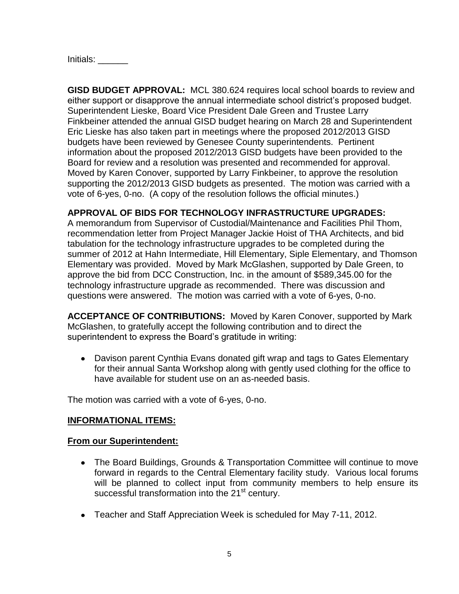Initials: \_\_\_\_\_\_\_

**GISD BUDGET APPROVAL:** MCL 380.624 requires local school boards to review and either support or disapprove the annual intermediate school district's proposed budget. Superintendent Lieske, Board Vice President Dale Green and Trustee Larry Finkbeiner attended the annual GISD budget hearing on March 28 and Superintendent Eric Lieske has also taken part in meetings where the proposed 2012/2013 GISD budgets have been reviewed by Genesee County superintendents. Pertinent information about the proposed 2012/2013 GISD budgets have been provided to the Board for review and a resolution was presented and recommended for approval. Moved by Karen Conover, supported by Larry Finkbeiner, to approve the resolution supporting the 2012/2013 GISD budgets as presented. The motion was carried with a vote of 6-yes, 0-no. (A copy of the resolution follows the official minutes.)

### **APPROVAL OF BIDS FOR TECHNOLOGY INFRASTRUCTURE UPGRADES:**

A memorandum from Supervisor of Custodial/Maintenance and Facilities Phil Thom, recommendation letter from Project Manager Jackie Hoist of THA Architects, and bid tabulation for the technology infrastructure upgrades to be completed during the summer of 2012 at Hahn Intermediate, Hill Elementary, Siple Elementary, and Thomson Elementary was provided. Moved by Mark McGlashen, supported by Dale Green, to approve the bid from DCC Construction, Inc. in the amount of \$589,345.00 for the technology infrastructure upgrade as recommended. There was discussion and questions were answered. The motion was carried with a vote of 6-yes, 0-no.

**ACCEPTANCE OF CONTRIBUTIONS:** Moved by Karen Conover, supported by Mark McGlashen, to gratefully accept the following contribution and to direct the superintendent to express the Board's gratitude in writing:

Davison parent Cynthia Evans donated gift wrap and tags to Gates Elementary for their annual Santa Workshop along with gently used clothing for the office to have available for student use on an as-needed basis.

The motion was carried with a vote of 6-yes, 0-no.

## **INFORMATIONAL ITEMS:**

#### **From our Superintendent:**

- The Board Buildings, Grounds & Transportation Committee will continue to move forward in regards to the Central Elementary facility study. Various local forums will be planned to collect input from community members to help ensure its successful transformation into the 21<sup>st</sup> century.
- Teacher and Staff Appreciation Week is scheduled for May 7-11, 2012.